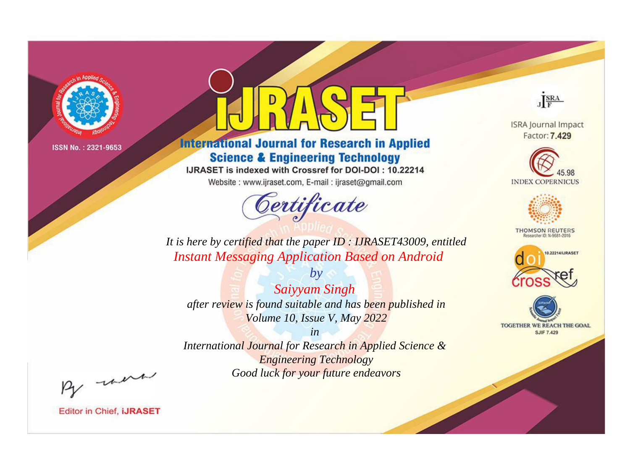

# **International Journal for Research in Applied Science & Engineering Technology**

IJRASET is indexed with Crossref for DOI-DOI: 10.22214

Website: www.ijraset.com, E-mail: ijraset@gmail.com



JERA

**ISRA Journal Impact** Factor: 7.429





**THOMSON REUTERS** 



TOGETHER WE REACH THE GOAL **SJIF 7.429** 

*It is here by certified that the paper ID : IJRASET43009, entitled Instant Messaging Application Based on Android*

*by Saiyyam Singh after review is found suitable and has been published in Volume 10, Issue V, May 2022*

*in* 

*International Journal for Research in Applied Science & Engineering Technology Good luck for your future endeavors*

By morn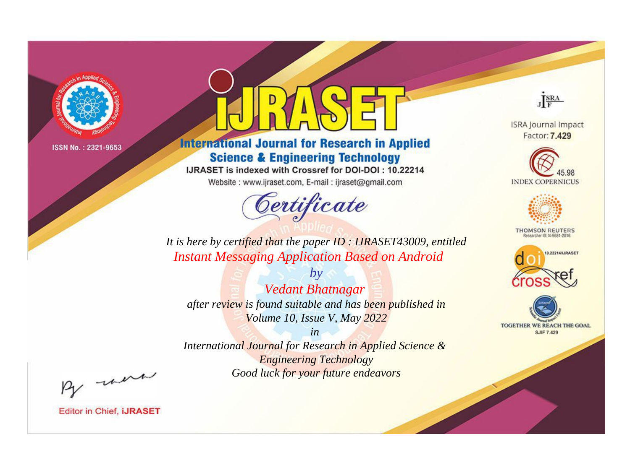

# **International Journal for Research in Applied Science & Engineering Technology**

IJRASET is indexed with Crossref for DOI-DOI: 10.22214

Website: www.ijraset.com, E-mail: ijraset@gmail.com



JERA

**ISRA Journal Impact** Factor: 7.429





**THOMSON REUTERS** 



TOGETHER WE REACH THE GOAL **SJIF 7.429** 

*It is here by certified that the paper ID : IJRASET43009, entitled Instant Messaging Application Based on Android*

*by Vedant Bhatnagar after review is found suitable and has been published in Volume 10, Issue V, May 2022*

*in* 

*International Journal for Research in Applied Science & Engineering Technology Good luck for your future endeavors*

By morn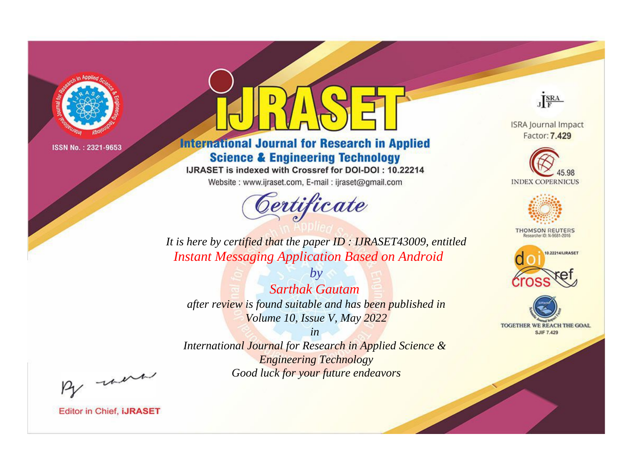

# **International Journal for Research in Applied Science & Engineering Technology**

IJRASET is indexed with Crossref for DOI-DOI: 10.22214

Website: www.ijraset.com, E-mail: ijraset@gmail.com



JERA

**ISRA Journal Impact** Factor: 7.429





**THOMSON REUTERS** 



TOGETHER WE REACH THE GOAL **SJIF 7.429** 

*It is here by certified that the paper ID : IJRASET43009, entitled Instant Messaging Application Based on Android*

*by Sarthak Gautam after review is found suitable and has been published in Volume 10, Issue V, May 2022*

*in* 

*International Journal for Research in Applied Science & Engineering Technology Good luck for your future endeavors*

By morn